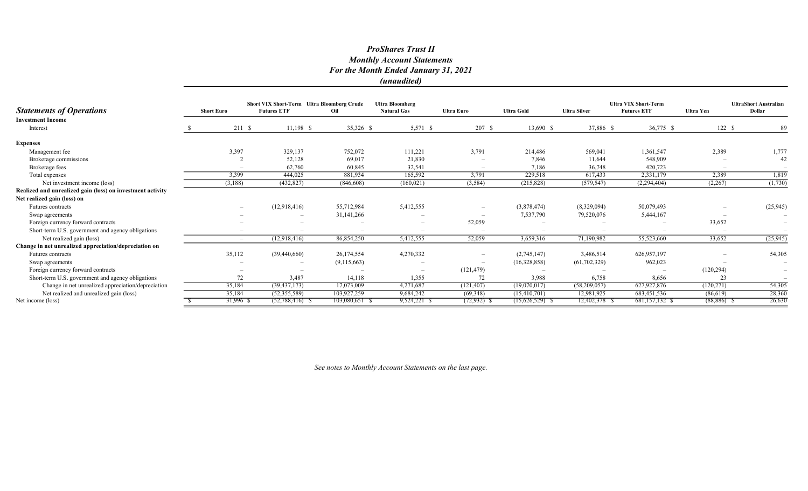|                                                            |                   |             | Short VIX Short-Term Ultra Bloomberg Crude | <b>Ultra Bloomberg</b>   |                          |                          |                   | <b>Ultra VIX Short-Term</b> |                    | <b>UltraShort Australian</b> |                          |
|------------------------------------------------------------|-------------------|-------------|--------------------------------------------|--------------------------|--------------------------|--------------------------|-------------------|-----------------------------|--------------------|------------------------------|--------------------------|
| <b>Statements of Operations</b>                            | <b>Short Euro</b> |             | <b>Futures ETF</b>                         | Oil                      | <b>Natural Gas</b>       | <b>Ultra Euro</b>        | <b>Ultra Gold</b> | <b>Ultra Silver</b>         | <b>Futures ETF</b> | <b>Ultra Yen</b>             | <b>Dollar</b>            |
| <b>Investment Income</b>                                   |                   |             |                                            |                          |                          |                          |                   |                             |                    |                              |                          |
| Interest                                                   |                   | 211S        | $11,198$ \$                                | 35,326 \$                | 5,571 \$                 | 207S                     | 13,690 \$         | 37,886 \$                   | 36,775 \$          | 122S                         | 89                       |
| <b>Expenses</b>                                            |                   |             |                                            |                          |                          |                          |                   |                             |                    |                              |                          |
| Management fee                                             |                   | 3,397       | 329,137                                    | 752,072                  | 111,221                  | 3,791                    | 214,486           | 569,041                     | 1,361,547          | 2,389                        | 1,777                    |
| Brokerage commissions                                      |                   |             | 52,128                                     | 69,017                   | 21,830                   |                          | 7.846             | 11,644                      | 548,909            |                              | 42                       |
| Brokerage fees                                             |                   |             | 62,760                                     | 60,845                   | 32,541                   | $\overline{\phantom{a}}$ | 7,186             | 36,748                      | 420,723            |                              |                          |
| Total expenses                                             |                   | 3,399       | 444,025                                    | 881,934                  | 165,592                  | 3,791                    | 229,518           | 617,433                     | 2,331,179          | 2,389                        | 1,819                    |
| Net investment income (loss)                               |                   | (3,188)     | (432, 827)                                 | (846, 608)               | (160, 021)               | (3, 584)                 | (215,828)         | (579, 547)                  | (2, 294, 404)      | (2,267)                      | (1,730)                  |
| Realized and unrealized gain (loss) on investment activity |                   |             |                                            |                          |                          |                          |                   |                             |                    |                              |                          |
| Net realized gain (loss) on                                |                   |             |                                            |                          |                          |                          |                   |                             |                    |                              |                          |
| <b>Futures</b> contracts                                   |                   |             | (12,918,416)                               | 55,712,984               | 5,412,555                | $\overline{\phantom{a}}$ | (3,878,474)       | (8,329,094)                 | 50,079,493         |                              | (25, 945)                |
| Swap agreements                                            |                   |             |                                            | 31,141,266               | $\overline{\phantom{a}}$ |                          | 7,537,790         | 79,520,076                  | 5,444,167          |                              | $\overline{\phantom{a}}$ |
| Foreign currency forward contracts                         |                   |             | $\overline{\phantom{0}}$                   |                          | $\overline{\phantom{a}}$ | 52,059                   |                   |                             |                    | 33,652                       | $\overline{\phantom{a}}$ |
| Short-term U.S. government and agency obligations          |                   |             | $\overline{\phantom{a}}$                   |                          | $\overline{\phantom{a}}$ | $\overline{\phantom{a}}$ |                   |                             |                    |                              |                          |
| Net realized gain (loss)                                   |                   | $-$         | (12,918,416)                               | 86,854,250               | 5,412,555                | 52,059                   | 3,659,316         | 71,190,982                  | 55,523,660         | 33,652                       | (25, 945)                |
| Change in net unrealized appreciation/depreciation on      |                   |             |                                            |                          |                          |                          |                   |                             |                    |                              |                          |
| <b>Futures</b> contracts                                   |                   | 35,112      | (39, 440, 660)                             | 26,174,554               | 4,270,332                |                          | (2,745,147)       | 3,486,514                   | 626, 957, 197      |                              | 54,305                   |
| Swap agreements                                            |                   |             |                                            | (9,115,663)              |                          |                          | (16,328,858)      | (61, 702, 329)              | 962,023            |                              |                          |
| Foreign currency forward contracts                         |                   |             |                                            | $\overline{\phantom{m}}$ | $\overline{\phantom{m}}$ | (121, 479)               |                   |                             |                    | (120, 294)                   | $\overline{\phantom{m}}$ |
| Short-term U.S. government and agency obligations          |                   | 72          | 3,487                                      | 14,118                   | 1,355                    | 72                       | 3,988             | 6,758                       | 8,656              | 23                           |                          |
| Change in net unrealized appreciation/depreciation         |                   | 35,184      | (39, 437, 173)                             | 17,073,009               | 4,271,687                | (121, 407)               | (19,070,017)      | (58,209,057)                | 627,927,876        | (120, 271)                   | 54,305                   |
| Net realized and unrealized gain (loss)                    |                   | 35,184      | (52,355,589)                               | 103,927,259              | 9,684,242                | (69, 348)                | (15,410,701)      | 12,981,925                  | 683,451,536        | (86,619)                     | 28,360                   |
| Net income (loss)                                          |                   | $31,996$ \$ | $(52,788,416)$ \$                          | $103,080,651$ \$         | $9,524,221$ \$           | $(72, 932)$ \$           | $(15,626,529)$ \$ | 12,402,378 \$               | 681,157,132 \$     | $(88, 886)$ \$               | 26,630                   |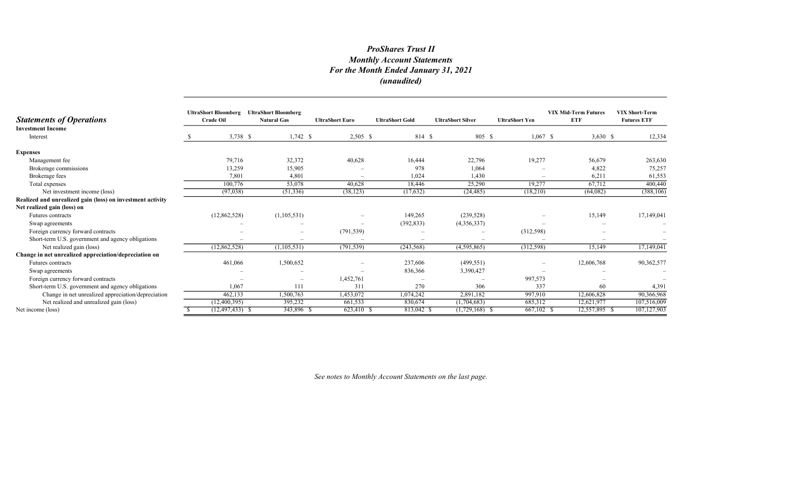| <b>Statements of Operations</b>                            | <b>UltraShort Bloomberg</b><br><b>Crude Oil</b> | <b>UltraShort Bloomberg</b><br><b>Natural Gas</b> | <b>UltraShort Euro</b> | <b>UltraShort Gold</b> | <b>UltraShort Silver</b> | <b>UltraShort Yen</b> | <b>VIX Mid-Term Futures</b><br><b>ETF</b> | <b>VIX Short-Term</b><br><b>Futures ETF</b> |
|------------------------------------------------------------|-------------------------------------------------|---------------------------------------------------|------------------------|------------------------|--------------------------|-----------------------|-------------------------------------------|---------------------------------------------|
| <b>Investment Income</b><br>Interest                       | $3,738$ \$                                      | $1,742$ \$                                        | $2,505$ \$             | 814 \$                 | 805 \$                   | $1,067$ \$            | $3,630$ \$                                | 12,334                                      |
| <b>Expenses</b>                                            |                                                 |                                                   |                        |                        |                          |                       |                                           |                                             |
| Management fee                                             | 79,716                                          | 32,372                                            | 40,628                 | 16,444                 | 22,796                   | 19,277                | 56,679                                    | 263,630                                     |
| Brokerage commissions                                      | 13,259                                          | 15,905                                            |                        | 978                    | 1,064                    |                       | 4,822                                     | 75,257                                      |
| Brokerage fees                                             | 7,801                                           | 4,801                                             |                        | 1,024                  | 1,430                    |                       | 6,211                                     | 61,553                                      |
| Total expenses                                             | 100,776                                         | 53,078                                            | 40,628                 | 18,446                 | 25,290                   | 19,277                | 67,712                                    | 400,440                                     |
| Net investment income (loss)                               | (97,038)                                        | (51, 336)                                         | (38, 123)              | (17,632)               | (24, 485)                | (18,210)              | (64,082)                                  | (388, 106)                                  |
| Realized and unrealized gain (loss) on investment activity |                                                 |                                                   |                        |                        |                          |                       |                                           |                                             |
| Net realized gain (loss) on                                |                                                 |                                                   |                        |                        |                          |                       |                                           |                                             |
| <b>Futures</b> contracts                                   | (12,862,528)                                    | (1,105,531)                                       |                        | 149,265                | (239, 528)               |                       | 15,149                                    | 17,149,041                                  |
| Swap agreements                                            |                                                 |                                                   |                        | (392, 833)             | (4,356,337)              |                       |                                           |                                             |
| Foreign currency forward contracts                         |                                                 |                                                   | (791, 539)             |                        |                          | (312,598)             |                                           |                                             |
| Short-term U.S. government and agency obligations          |                                                 | $\overline{\phantom{0}}$                          |                        |                        |                          |                       |                                           |                                             |
| Net realized gain (loss)                                   | (12,862,528)                                    | (1, 105, 531)                                     | (791, 539)             | (243, 568)             | (4,595,865)              | (312, 598)            | 15,149                                    | 17,149,041                                  |
| Change in net unrealized appreciation/depreciation on      |                                                 |                                                   |                        |                        |                          |                       |                                           |                                             |
| Futures contracts                                          | 461,066                                         | 1,500,652                                         |                        | 237,606                | (499, 551)               |                       | 12,606,768                                | 90,362,577                                  |
| Swap agreements                                            |                                                 |                                                   |                        | 836,366                | 3,390,427                |                       |                                           |                                             |
| Foreign currency forward contracts                         |                                                 | $\overline{\phantom{m}}$                          | 1,452,761              |                        |                          | 997,573               |                                           |                                             |
| Short-term U.S. government and agency obligations          | 1,067                                           | 111                                               | 311                    | 270                    | 306                      | 337                   | 60                                        | 4,391                                       |
| Change in net unrealized appreciation/depreciation         | 462,133                                         | 1,500,763                                         | 1,453,072              | 1,074,242              | 2,891,182                | 997,910               | 12,606,828                                | 90,366,968                                  |
| Net realized and unrealized gain (loss)                    | (12,400,395)                                    | 395,232                                           | 661,533                | 830,674                | (1,704,683)              | 685,312               | 12,621,977                                | 107,516,009                                 |
| Net income (loss)                                          | $(12, 497, 433)$ \$                             | 343,896 \$                                        | 623,410 \$             | 813,042 S              | $(1,729,168)$ \$         | 667,102 \$            | 12,557,895 \$                             | 107,127,903                                 |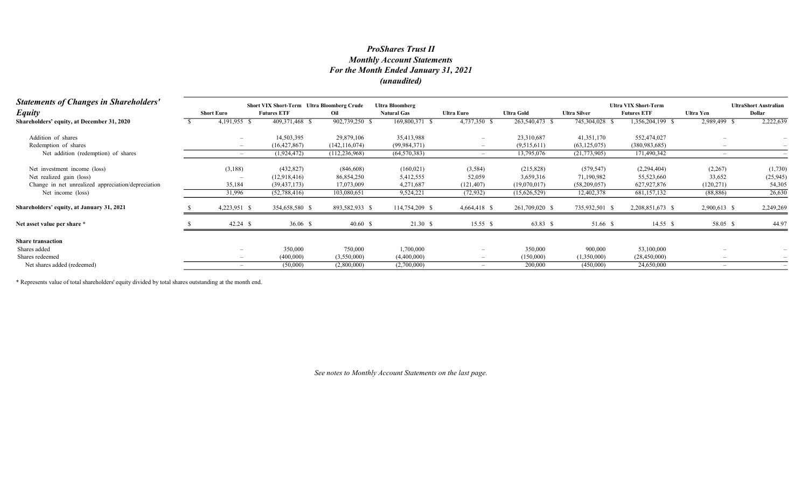| <b>Statements of Changes in Shareholders'</b>      |                          | <b>Short VIX Short-Term</b> Ultra Bloomberg Crude |                 | <b>Ultra Bloomberg</b> |                          |                   |                     | <b>Ultra VIX Short-Term</b> | <b>UltraShort Australian</b> |           |
|----------------------------------------------------|--------------------------|---------------------------------------------------|-----------------|------------------------|--------------------------|-------------------|---------------------|-----------------------------|------------------------------|-----------|
| <b>Equity</b>                                      | <b>Short Euro</b>        | <b>Futures ETF</b>                                | Oil             | <b>Natural Gas</b>     | Ultra Euro               | <b>Ultra Gold</b> | <b>Ultra Silver</b> | <b>Futures ETF</b>          | Ultra Yen                    | Dollar    |
| Shareholders' equity, at December 31, 2020         | 4,191,955 \$             | 409,371,468 \$                                    | 902,739,250 \$  | 169,800,371            | 4,737,350 \$             | 263,540,473 \$    | 745,304,028 \$      | 1,356,204,199 \$            | 2,989,499 \$                 | 2,222,639 |
| Addition of shares                                 |                          | 14,503,395                                        | 29,879,106      | 35,413,988             | $\overline{\phantom{0}}$ | 23,310,687        | 41,351,170          | 552,474,027                 |                              |           |
| Redemption of shares                               |                          | (16, 427, 867)                                    | (142, 116, 074) | (99, 984, 371)         |                          | (9,515,611)       | (63, 125, 075)      | (380, 983, 685)             |                              |           |
| Net addition (redemption) of shares                |                          | (1,924,472)                                       | (112, 236, 968) | (64, 570, 383)         |                          | 13,795,076        | (21,773,905)        | 171,490,342                 |                              |           |
| Net investment income (loss)                       | (3,188)                  | (432,827)                                         | (846, 608)      | (160, 021)             | (3,584)                  | (215,828)         | (579, 547)          | (2,294,404)                 | (2,267)                      | (1,730)   |
| Net realized gain (loss)                           |                          | (12,918,416)                                      | 86,854,250      | 5,412,555              | 52,059                   | 3,659,316         | 71,190,982          | 55,523,660                  | 33,652                       | (25, 945) |
| Change in net unrealized appreciation/depreciation | 35,184                   | (39, 437, 173)                                    | 17,073,009      | 4,271,687              | (121, 407)               | (19,070,017)      | (58,209,057)        | 627,927,876                 | (120, 271)                   | 54,305    |
| Net income (loss)                                  | 31,996                   | (52,788,416)                                      | 103,080,651     | 9,524,221              | (72, 932)                | (15,626,529)      | 12,402,378          | 681,157,132                 | (88, 886)                    | 26,630    |
| Shareholders' equity, at January 31, 2021          | 4,223,951 \$             | 354,658,580 \$                                    | 893,582,933 \$  | 114,754,209 \$         | 4,664,418 \$             | 261,709,020 \$    | 735,932,501 \$      | 2,208,851,673 \$            | 2,900,613 \$                 | 2,249,269 |
| Net asset value per share *                        | $42.24$ \$               | 36.06 $\sqrt{5}$                                  | 40.60 S         | 21.30 S                | 15.55 \$                 | 63.83 \$          | 51.66 \$            | 14.55 S                     | 58.05 \$                     | 44.97     |
| <b>Share transaction</b>                           |                          |                                                   |                 |                        |                          |                   |                     |                             |                              |           |
| Shares added                                       |                          | 350,000                                           | 750,000         | 1,700,000              | $\overline{\phantom{0}}$ | 350,000           | 900,000             | 53,100,000                  |                              |           |
| Shares redeemed                                    | $\overline{\phantom{a}}$ | (400,000)                                         | (3,550,000)     | (4,400,000)            |                          | (150,000)         | (1,350,000)         | (28, 450, 000)              |                              |           |
| Net shares added (redeemed)                        |                          | (50,000)                                          | (2,800,000)     | (2,700,000)            |                          | 200,000           | (450,000)           | 24,650,000                  |                              |           |

\* Represents value of total shareholders' equity divided by total shares outstanding at the month end.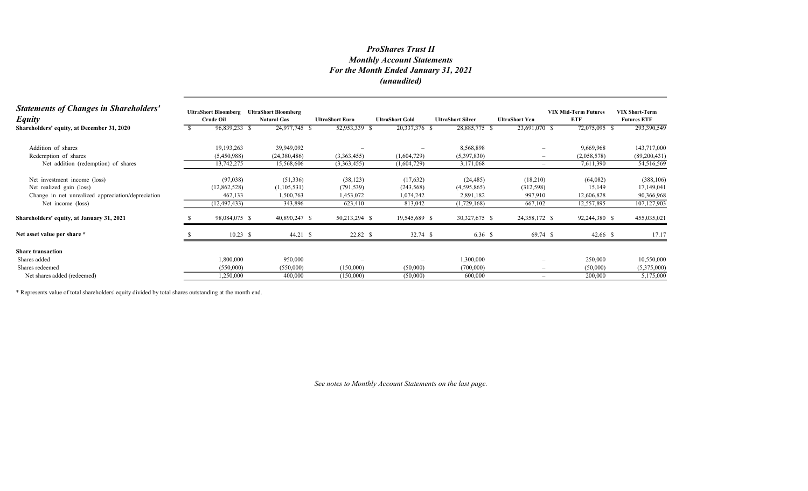| <b>Statements of Changes in Shareholders'</b><br><b>Equity</b> | <b>UltraShort Bloomberg</b><br><b>Crude Oil</b> | <b>UltraShort Bloomberg</b><br><b>Natural Gas</b> | <b>UltraShort Euro</b> | <b>UltraShort Gold</b> | <b>UltraShort Silver</b> | <b>UltraShort Yen</b>           | <b>VIX Mid-Term Futures</b><br><b>ETF</b> | <b>VIX Short-Term</b><br><b>Futures ETF</b> |
|----------------------------------------------------------------|-------------------------------------------------|---------------------------------------------------|------------------------|------------------------|--------------------------|---------------------------------|-------------------------------------------|---------------------------------------------|
| Shareholders' equity, at December 31, 2020                     | 96,839,233 \$                                   | 24,977,745 \$                                     | 52,953,339 \$          | 20,337,376 \$          | 28,885,775 \$            | 23,691,070 \$                   | 72,075,095 \$                             | 293,390,549                                 |
| Addition of shares                                             | 19,193,263                                      | 39,949,092                                        |                        |                        | 8,568,898                |                                 | 9,669,968                                 | 143,717,000                                 |
| Redemption of shares                                           | (5,450,988)                                     | (24,380,486)                                      | (3,363,455)            | (1,604,729)            | (5,397,830)              | $\overline{\phantom{a}}$        | (2,058,578)                               | (89,200,431)                                |
| Net addition (redemption) of shares                            | 13,742,275                                      | 15,568,606                                        | (3,363,455)            | (1,604,729)            | 3,171,068                | $\hspace{0.1mm}-\hspace{0.1mm}$ | 7,611,390                                 | 54,516,569                                  |
| Net investment income (loss)                                   | (97,038)                                        | (51, 336)                                         | (38, 123)              | (17,632)               | (24, 485)                | (18,210)                        | (64,082)                                  | (388, 106)                                  |
| Net realized gain (loss)                                       | (12,862,528)                                    | (1,105,531)                                       | (791, 539)             | (243, 568)             | (4,595,865)              | (312, 598)                      | 15,149                                    | 17,149,041                                  |
| Change in net unrealized appreciation/depreciation             | 462,133                                         | 1,500,763                                         | 1,453,072              | 1,074,242              | 2,891,182                | 997,910                         | 12,606,828                                | 90,366,968                                  |
| Net income (loss)                                              | (12, 497, 433)                                  | 343,896                                           | 623,410                | 813,042                | (1,729,168)              | 667,102                         | 12,557,895                                | 107,127,903                                 |
| Shareholders' equity, at January 31, 2021                      | 98,084,075 \$                                   | 40,890,247 \$                                     | 50,213,294 \$          | 19,545,689 \$          | 30,327,675 \$            | 24,358,172 \$                   | 92,244,380 \$                             | 455,035,021                                 |
| Net asset value per share *                                    | $10.23$ \$                                      | 44.21 S                                           | $22.82$ \$             | $32.74$ \$             | 6.36 \$                  | 69.74 \$                        | $42.66$ \$                                | 17.17                                       |
| <b>Share transaction</b>                                       |                                                 |                                                   |                        |                        |                          |                                 |                                           |                                             |
| Shares added                                                   | 1,800,000                                       | 950,000                                           |                        |                        | 1,300,000                | -                               | 250,000                                   | 10,550,000                                  |
| Shares redeemed                                                | (550,000)                                       | (550,000)                                         | (150,000)              | (50,000)               | (700,000)                | $\hspace{0.1mm}-\hspace{0.1mm}$ | (50,000)                                  | (5,375,000)                                 |
| Net shares added (redeemed)                                    | 1,250,000                                       | 400,000                                           | (150,000)              | (50,000)               | 600,000                  | $\overline{\phantom{a}}$        | 200,000                                   | 5,175,000                                   |

\* Represents value of total shareholders' equity divided by total shares outstanding at the month end.